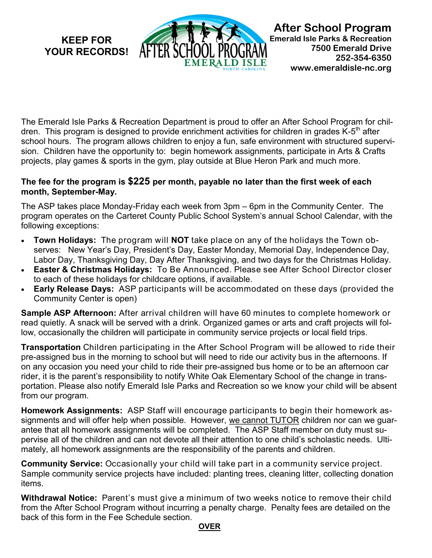**KEEP FOR YOUR RECORDS!** 



**After School Program Emerald Isle Parks & Recreation 7500 Emerald Drive 252-354-6350 www.emeraldisle-nc.org**

The Emerald Isle Parks & Recreation Department is proud to offer an After School Program for children. This program is designed to provide enrichment activities for children in grades K-5<sup>th</sup> after school hours. The program allows children to enjoy a fun, safe environment with structured supervision. Children have the opportunity to: begin homework assignments, participate in Arts & Crafts projects, play games & sports in the gym, play outside at Blue Heron Park and much more.

## **The fee for the program is \$225 per month, payable no later than the first week of each month, September-May.**

The ASP takes place Monday-Friday each week from 3pm – 6pm in the Community Center. The program operates on the Carteret County Public School System's annual School Calendar, with the following exceptions:

- **Town Holidays:** The program will **NOT** take place on any of the holidays the Town observes: New Year's Day, President's Day, Easter Monday, Memorial Day, Independence Day, Labor Day, Thanksgiving Day, Day After Thanksgiving, and two days for the Christmas Holiday.
- **Easter & Christmas Holidays:** To Be Announced. Please see After School Director closer to each of these holidays for childcare options, if available.
- **Early Release Days:** ASP participants will be accommodated on these days (provided the Community Center is open)

**Sample ASP Afternoon:** After arrival children will have 60 minutes to complete homework or read quietly. A snack will be served with a drink. Organized games or arts and craft projects will follow, occasionally the children will participate in community service projects or local field trips.

**Transportation** Children participating in the After School Program will be allowed to ride their pre-assigned bus in the morning to school but will need to ride our activity bus in the afternoons. If on any occasion you need your child to ride their pre-assigned bus home or to be an afternoon car rider, it is the parent's responsibility to notify White Oak Elementary School of the change in transportation. Please also notify Emerald Isle Parks and Recreation so we know your child will be absent from our program.

**Homework Assignments:** ASP Staff will encourage participants to begin their homework assignments and will offer help when possible. However, we cannot TUTOR children nor can we guarantee that all homework assignments will be completed. The ASP Staff member on duty must supervise all of the children and can not devote all their attention to one child's scholastic needs. Ultimately, all homework assignments are the responsibility of the parents and children.

**Community Service:** Occasionally your child will take part in a community service project. Sample community service projects have included: planting trees, cleaning litter, collecting donation items.

**Withdrawal Notice:** Parent's must give a minimum of two weeks notice to remove their child from the After School Program without incurring a penalty charge. Penalty fees are detailed on the back of this form in the Fee Schedule section.

## **OVER**